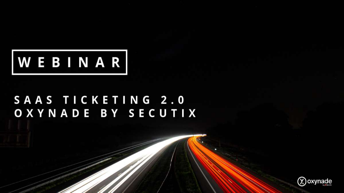

#### SAAS TICKETING 2.0 OXYNADE BY SECUTIX

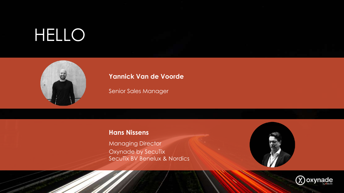# HELLO



#### **Yannick Van de Voorde**

Senior Sales Manager

#### **Hans Nissens**

Managing Director Oxynade by SecuTix SecuTix BV Benelux & Nordics



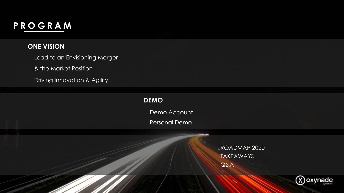#### **PROGRAM**

#### **ONE VISION**

Lead to an Envisioning Merger

& the Market Position

Driving Innovation & Agility

#### **DEMO**

Demo Account

Personal Demo

Q&A ROADMAP 2020 TAKEAWAYS

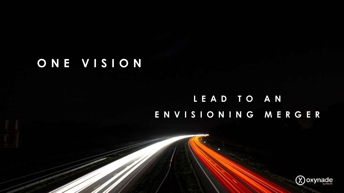### **ONE VISION**

#### **LEAD TO AN ENVISIONING MERGER**

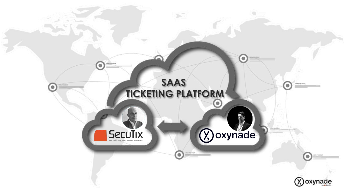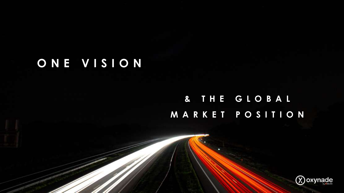### **ONE VISION**

#### **& THE GLOBAL MARKET POSITION**

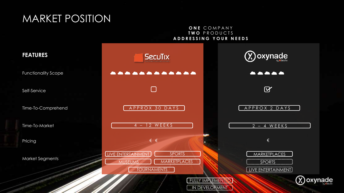#### MARKET POSITION

#### **ONE** COMPANY **TWO** PRODUCTS **ADDRESSING YOUR NEEDS**

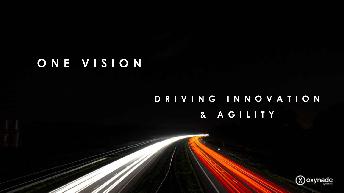### **ONE VISION**

#### **DRIVING INNOVATION & AGILITY**

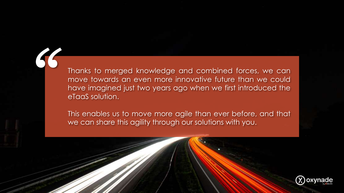Thanks to merged knowledge and combined forces, we can move towards an even more innovative future than we could have imagined just two years ago when we first introduced the eTaaS solution.

*"*

This enables us to move more agile than ever before, and that we can share this agility through our solutions with you.

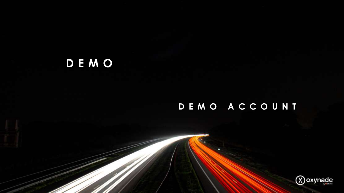# **DEMO**

#### **DEMO ACCOUNT**

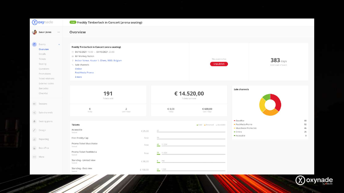|               | (X) oxynade                                                                                                                                                                  | Freddy Timberlock in Concert (arena seating)                                                                                                                                                                       |                               |                                 |                                        |                                                              |                                  |                |
|---------------|------------------------------------------------------------------------------------------------------------------------------------------------------------------------------|--------------------------------------------------------------------------------------------------------------------------------------------------------------------------------------------------------------------|-------------------------------|---------------------------------|----------------------------------------|--------------------------------------------------------------|----------------------------------|----------------|
| $\mathcal{L}$ | Susan Jones<br>$***$                                                                                                                                                         | Overview                                                                                                                                                                                                           |                               |                                 |                                        |                                                              |                                  |                |
| a             | Events<br>$\sim$<br>Overview<br>Details<br><b>Tickets</b><br>Seating<br>Questions<br>Promotions<br>Ticket relations<br>External codes<br>Barcodes<br>Checklist<br>on Seasons | Freddy Timberlock in Concert (arena seating)<br>04/10/2021 19:00 - 04/10/2021 23:00<br>Mr Monkey Nation<br>9 Indoor Venue. Kouter 1. Ghent, 9000. Belgium<br>Sale channels<br>Online<br>FestiMedia Promo<br>2 more |                               |                                 | This event is live<br><b>Unpublish</b> |                                                              | 383 days<br>Until start of event |                |
|               |                                                                                                                                                                              | 191<br>Tickets sold                                                                                                                                                                                                |                               | € 14.520,00<br>Tickets turnover |                                        | Sale channels                                                |                                  |                |
|               | o <sub>2</sub> Sale channels                                                                                                                                                 | $\mathbf 0$<br>Today                                                                                                                                                                                               | $\overline{2}$<br>Last 7 days | € 0,00<br>Today                 | € 600,00<br>Last 7 days                |                                                              |                                  |                |
| $f$ Design    | e Seating plans                                                                                                                                                              | Tickets<br>Accessible                                                                                                                                                                                              |                               | 20                              | Sold - Reserved - Available            | - Boxoffice<br>- FestiMedia Promo<br>- MusicNoise Promo Site |                                  | 68<br>52<br>45 |
| ill Reporting |                                                                                                                                                                              | Seated<br>Free Freddy Cap                                                                                                                                                                                          | € 25,00<br>Free               | $\circ$                         |                                        | $-$ Online<br>- Accessible                                   |                                  | 25<br>$\circ$  |
| Box office    |                                                                                                                                                                              | Promo Ticket MusicNoise<br>Seated                                                                                                                                                                                  | Free                          | $46$ 11.324                     |                                        |                                                              |                                  |                |
| *** More      |                                                                                                                                                                              | Promo Ticket FestiMedia<br>Seated                                                                                                                                                                                  | Free                          | 77 11.324                       |                                        |                                                              |                                  |                |
|               |                                                                                                                                                                              | Standing - Limited view<br>Seated                                                                                                                                                                                  | € 90,00                       | $8 - 790$                       |                                        |                                                              |                                  |                |
|               |                                                                                                                                                                              | Standing - Best view<br>Seated                                                                                                                                                                                     | € 150,00                      | 24 1.520                        |                                        |                                                              |                                  |                |

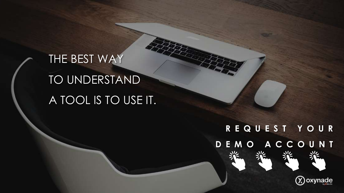# THE BEST WAY TO UNDERSTAND A TOOL IS TO USE IT.

# **REQUEST YOUR [DEMO ACCOUNT](https://www.oxynade.com/hello-demo-account?utm_medium=other&utm_source=slide_deck&utm_campaign=oxynade-by-secutix-en)**

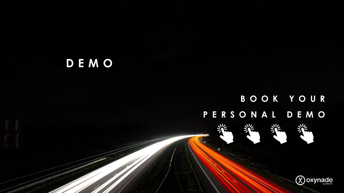## **DEMO**

## **BOOK YOUR [PERSONAL DEMO](https://www.oxynade.com/saas-ticketing-personal-demo?utm_medium=other&utm_source=slide_deck&utm_campaign=oxynade-by-secutix-en)**

裟

栄



兴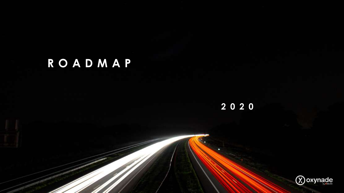# **ROADMAP**

**2020**

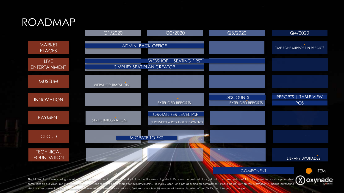#### ROADMAP



some light on our vision, but it is importent to understand that it is being shared for INFORMATIONAL PURPOSES ONLY, and not as a binding commitment. Please do not rely on this information in making purchasing decisions because ultimately, the development, release, and timing of any products, features or functionality remains at the sole discretion of SecuTix BV, and is subject to change.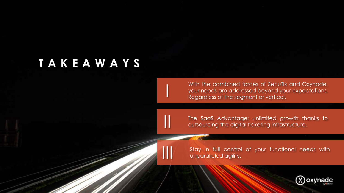#### **TAKEAWAYS**

I

II

III

With the combined forces of SecuTix and Oxynade, your needs are addressed beyond your expectations. Regardless of the segment or vertical.

The SaaS Advantage: unlimited growth thanks to outsourcing the digital ticketing infrastructure.

Stay in full control of your functional needs with unparalleled agility.

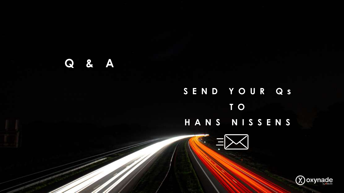#### **Q & A**

# **[SEND YOUR Qs](mailto:hello@oxynade.com) T O HANS NISSENS** $\equiv$